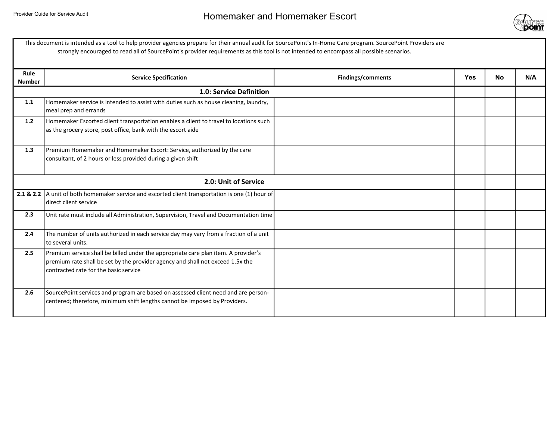

| This document is intended as a tool to help provider agencies prepare for their annual audit for SourcePoint's In-Home Care program. SourcePoint Providers are<br>strongly encouraged to read all of SourcePoint's provider requirements as this tool is not intended to encompass all possible scenarios. |                                                                                                                                                                                                               |                   |            |           |     |  |
|------------------------------------------------------------------------------------------------------------------------------------------------------------------------------------------------------------------------------------------------------------------------------------------------------------|---------------------------------------------------------------------------------------------------------------------------------------------------------------------------------------------------------------|-------------------|------------|-----------|-----|--|
| Rule<br><b>Number</b>                                                                                                                                                                                                                                                                                      | <b>Service Specification</b>                                                                                                                                                                                  | Findings/comments | <b>Yes</b> | <b>No</b> | N/A |  |
|                                                                                                                                                                                                                                                                                                            | 1.0: Service Definition                                                                                                                                                                                       |                   |            |           |     |  |
| 1.1                                                                                                                                                                                                                                                                                                        | Homemaker service is intended to assist with duties such as house cleaning, laundry,<br>meal prep and errands                                                                                                 |                   |            |           |     |  |
| 1.2                                                                                                                                                                                                                                                                                                        | Homemaker Escorted client transportation enables a client to travel to locations such<br>as the grocery store, post office, bank with the escort aide                                                         |                   |            |           |     |  |
| 1.3                                                                                                                                                                                                                                                                                                        | Premium Homemaker and Homemaker Escort: Service, authorized by the care<br>consultant, of 2 hours or less provided during a given shift                                                                       |                   |            |           |     |  |
|                                                                                                                                                                                                                                                                                                            | 2.0: Unit of Service                                                                                                                                                                                          |                   |            |           |     |  |
| 2.1 & 2.2                                                                                                                                                                                                                                                                                                  | A unit of both homemaker service and escorted client transportation is one (1) hour of<br>direct client service                                                                                               |                   |            |           |     |  |
| 2.3                                                                                                                                                                                                                                                                                                        | Unit rate must include all Administration, Supervision, Travel and Documentation time                                                                                                                         |                   |            |           |     |  |
| 2.4                                                                                                                                                                                                                                                                                                        | The number of units authorized in each service day may vary from a fraction of a unit<br>to several units.                                                                                                    |                   |            |           |     |  |
| 2.5                                                                                                                                                                                                                                                                                                        | Premium service shall be billed under the appropriate care plan item. A provider's<br>premium rate shall be set by the provider agency and shall not exceed 1.5x the<br>contracted rate for the basic service |                   |            |           |     |  |
| 2.6                                                                                                                                                                                                                                                                                                        | SourcePoint services and program are based on assessed client need and are person-<br>centered; therefore, minimum shift lengths cannot be imposed by Providers.                                              |                   |            |           |     |  |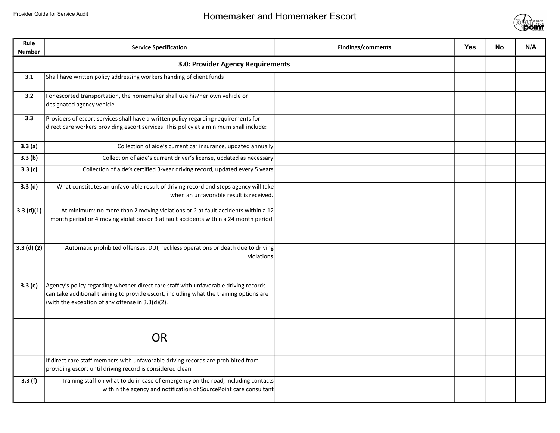

| Rule<br><b>Number</b> | <b>Service Specification</b>                                                                                                                                                                                                        | Findings/comments | <b>Yes</b> | <b>No</b> | N/A |
|-----------------------|-------------------------------------------------------------------------------------------------------------------------------------------------------------------------------------------------------------------------------------|-------------------|------------|-----------|-----|
|                       | 3.0: Provider Agency Requirements                                                                                                                                                                                                   |                   |            |           |     |
| 3.1                   | Shall have written policy addressing workers handing of client funds                                                                                                                                                                |                   |            |           |     |
| 3.2                   | For escorted transportation, the homemaker shall use his/her own vehicle or<br>designated agency vehicle.                                                                                                                           |                   |            |           |     |
| 3.3                   | Providers of escort services shall have a written policy regarding requirements for<br>direct care workers providing escort services. This policy at a minimum shall include:                                                       |                   |            |           |     |
| 3.3(a)                | Collection of aide's current car insurance, updated annually                                                                                                                                                                        |                   |            |           |     |
| 3.3(b)                | Collection of aide's current driver's license, updated as necessary                                                                                                                                                                 |                   |            |           |     |
| 3.3(c)                | Collection of aide's certified 3-year driving record, updated every 5 years                                                                                                                                                         |                   |            |           |     |
| 3.3(d)                | What constitutes an unfavorable result of driving record and steps agency will take<br>when an unfavorable result is received.                                                                                                      |                   |            |           |     |
| 3.3(d)(1)             | At minimum: no more than 2 moving violations or 2 at fault accidents within a 12<br>month period or 4 moving violations or 3 at fault accidents within a 24 month period.                                                           |                   |            |           |     |
| $3.3$ (d) (2)         | Automatic prohibited offenses: DUI, reckless operations or death due to driving<br>violations                                                                                                                                       |                   |            |           |     |
| 3.3(e)                | Agency's policy regarding whether direct care staff with unfavorable driving records<br>can take additional training to provide escort, including what the training options are<br>(with the exception of any offense in 3.3(d)(2). |                   |            |           |     |
|                       | <b>OR</b>                                                                                                                                                                                                                           |                   |            |           |     |
|                       | If direct care staff members with unfavorable driving records are prohibited from<br>providing escort until driving record is considered clean                                                                                      |                   |            |           |     |
| 3.3(f)                | Training staff on what to do in case of emergency on the road, including contacts<br>within the agency and notification of SourcePoint care consultant                                                                              |                   |            |           |     |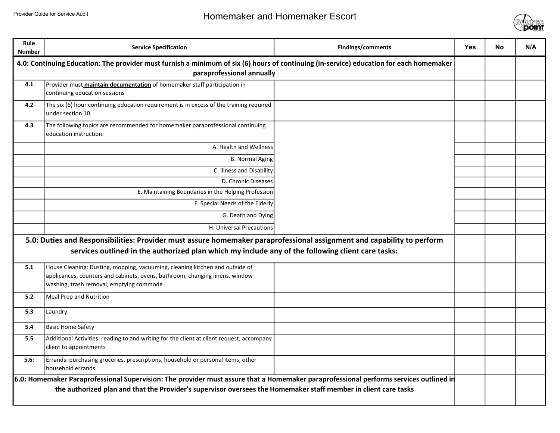

| Rule<br><b>Number</b>                                                                                                                                                                                                                                    | <b>Service Specification</b>                                                                                                                                                                             | Findings/comments | <b>Yes</b> | <b>No</b> | N/A |
|----------------------------------------------------------------------------------------------------------------------------------------------------------------------------------------------------------------------------------------------------------|----------------------------------------------------------------------------------------------------------------------------------------------------------------------------------------------------------|-------------------|------------|-----------|-----|
| 4.0: Continuing Education: The provider must furnish a minimum of six (6) hours of continuing (in-service) education for each homemaker<br>paraprofessional annually                                                                                     |                                                                                                                                                                                                          |                   |            |           |     |
| 4.1                                                                                                                                                                                                                                                      | Provider must <b>maintain documentation</b> of homemaker staff participation in<br>continuing education sessions                                                                                         |                   |            |           |     |
| 4.2                                                                                                                                                                                                                                                      | The six (6) hour continuing education requirement is in excess of the training required<br>under section 10                                                                                              |                   |            |           |     |
| 4.3                                                                                                                                                                                                                                                      | The following topics are recommended for homemaker paraprofessional continuing<br>education instruction:                                                                                                 |                   |            |           |     |
|                                                                                                                                                                                                                                                          | A. Health and Wellness                                                                                                                                                                                   |                   |            |           |     |
|                                                                                                                                                                                                                                                          | <b>B. Normal Aging</b>                                                                                                                                                                                   |                   |            |           |     |
|                                                                                                                                                                                                                                                          | C. Illness and Disability                                                                                                                                                                                |                   |            |           |     |
|                                                                                                                                                                                                                                                          | D. Chronic Diseases                                                                                                                                                                                      |                   |            |           |     |
|                                                                                                                                                                                                                                                          | E. Maintaining Boundaries in the Helping Profession                                                                                                                                                      |                   |            |           |     |
|                                                                                                                                                                                                                                                          | F. Special Needs of the Elderly                                                                                                                                                                          |                   |            |           |     |
|                                                                                                                                                                                                                                                          | G. Death and Dying                                                                                                                                                                                       |                   |            |           |     |
|                                                                                                                                                                                                                                                          | H. Universal Precautions                                                                                                                                                                                 |                   |            |           |     |
| 5.0: Duties and Responsibilities: Provider must assure homemaker paraprofessional assignment and capability to perform<br>services outlined in the authorized plan which my include any of the following client care tasks:                              |                                                                                                                                                                                                          |                   |            |           |     |
| 5.1                                                                                                                                                                                                                                                      | House Cleaning: Dusting, mopping, vacuuming, cleaning kitchen and outside of<br>applicances, counters and cabinets, ovens, bathroom, changing linens, window<br>washing, trash removal, emptying commode |                   |            |           |     |
| 5.2                                                                                                                                                                                                                                                      | Meal Prep and Nutrition                                                                                                                                                                                  |                   |            |           |     |
| 5.3                                                                                                                                                                                                                                                      | Laundry                                                                                                                                                                                                  |                   |            |           |     |
| 5.4                                                                                                                                                                                                                                                      | <b>Basic Home Safety</b>                                                                                                                                                                                 |                   |            |           |     |
| 5.5                                                                                                                                                                                                                                                      | Additional Activities: reading to and writing for the client at client request, accompany<br>client to appointments                                                                                      |                   |            |           |     |
| 5.6:                                                                                                                                                                                                                                                     | Errands: purchasing groceries, prescriptions, household or personal items, other<br>household errands                                                                                                    |                   |            |           |     |
| 6.0: Homemaker Paraprofessional Supervision: The provider must assure that a Homemaker paraprofessional performs services outlined in<br>the authorized plan and that the Provider's supervisor oversees the Homemaker staff member in client care tasks |                                                                                                                                                                                                          |                   |            |           |     |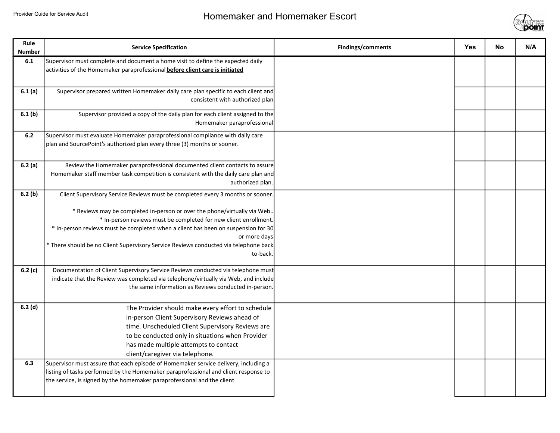

| Rule<br><b>Number</b> | <b>Service Specification</b>                                                                                                                                                                                                                                                                                                                                                                                                            | Findings/comments | <b>Yes</b> | <b>No</b> | N/A |
|-----------------------|-----------------------------------------------------------------------------------------------------------------------------------------------------------------------------------------------------------------------------------------------------------------------------------------------------------------------------------------------------------------------------------------------------------------------------------------|-------------------|------------|-----------|-----|
| 6.1                   | Supervisor must complete and document a home visit to define the expected daily<br>activities of the Homemaker paraprofessional before client care is initiated                                                                                                                                                                                                                                                                         |                   |            |           |     |
| 6.1(a)                | Supervisor prepared written Homemaker daily care plan specific to each client and<br>consistent with authorized plan                                                                                                                                                                                                                                                                                                                    |                   |            |           |     |
| 6.1(b)                | Supervisor provided a copy of the daily plan for each client assigned to the<br>Homemaker paraprofessional                                                                                                                                                                                                                                                                                                                              |                   |            |           |     |
| 6.2                   | Supervisor must evaluate Homemaker paraprofessional compliance with daily care<br>plan and SourcePoint's authorized plan every three (3) months or sooner.                                                                                                                                                                                                                                                                              |                   |            |           |     |
| 6.2(a)                | Review the Homemaker paraprofessional documented client contacts to assure<br>Homemaker staff member task competition is consistent with the daily care plan and<br>authorized plan.                                                                                                                                                                                                                                                    |                   |            |           |     |
| 6.2(b)                | Client Supervisory Service Reviews must be completed every 3 months or sooner.<br>* Reviews may be completed in-person or over the phone/virtually via Web<br>* In-person reviews must be completed for new client enrollment.<br>* In-person reviews must be completed when a client has been on suspension for 30<br>or more days<br>* There should be no Client Supervisory Service Reviews conducted via telephone back<br>to-back. |                   |            |           |     |
| 6.2(c)                | Documentation of Client Supervisory Service Reviews conducted via telephone must<br>indicate that the Review was completed via telephone/virtually via Web, and include<br>the same information as Reviews conducted in-person.                                                                                                                                                                                                         |                   |            |           |     |
| 6.2(d)<br>6.3         | The Provider should make every effort to schedule<br>in-person Client Supervisory Reviews ahead of<br>time. Unscheduled Client Supervisory Reviews are<br>to be conducted only in situations when Provider<br>has made multiple attempts to contact<br>client/caregiver via telephone.<br>Supervisor must assure that each episode of Homemaker service delivery, including a                                                           |                   |            |           |     |
|                       | listing of tasks performed by the Homemaker paraprofessional and client response to<br>the service, is signed by the homemaker paraprofessional and the client                                                                                                                                                                                                                                                                          |                   |            |           |     |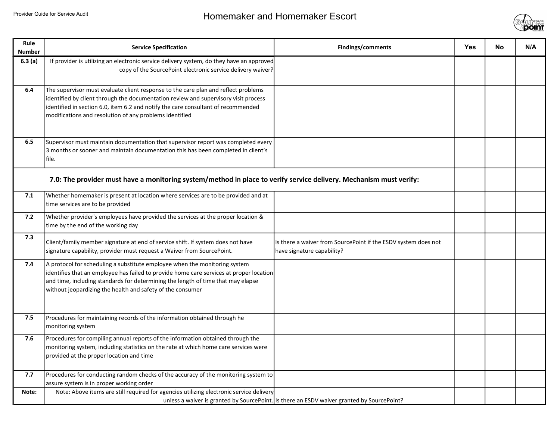

| Rule<br><b>Number</b> | <b>Service Specification</b>                                                                                                                                                                                                                                                                                              | Findings/comments                                                                            | <b>Yes</b> | <b>No</b> | N/A |
|-----------------------|---------------------------------------------------------------------------------------------------------------------------------------------------------------------------------------------------------------------------------------------------------------------------------------------------------------------------|----------------------------------------------------------------------------------------------|------------|-----------|-----|
| 6.3(a)                | If provider is utilizing an electronic service delivery system, do they have an approved<br>copy of the SourcePoint electronic service delivery waiver?                                                                                                                                                                   |                                                                                              |            |           |     |
| 6.4                   | The supervisor must evaluate client response to the care plan and reflect problems<br>identified by client through the documentation review and supervisory visit process<br>identified in section 6.0, item 6.2 and notify the care consultant of recommended<br>modifications and resolution of any problems identified |                                                                                              |            |           |     |
| 6.5                   | Supervisor must maintain documentation that supervisor report was completed every<br>3 months or sooner and maintain documentation this has been completed in client's<br>file.                                                                                                                                           |                                                                                              |            |           |     |
|                       | 7.0: The provider must have a monitoring system/method in place to verify service delivery. Mechanism must verify:                                                                                                                                                                                                        |                                                                                              |            |           |     |
| 7.1                   | Whether homemaker is present at location where services are to be provided and at<br>time services are to be provided                                                                                                                                                                                                     |                                                                                              |            |           |     |
| 7.2                   | Whether provider's employees have provided the services at the proper location &<br>time by the end of the working day                                                                                                                                                                                                    |                                                                                              |            |           |     |
| 7.3                   | Client/family member signature at end of service shift. If system does not have<br>signature capability, provider must request a Waiver from SourcePoint.                                                                                                                                                                 | Is there a waiver from SourcePoint if the ESDV system does not<br>have signature capability? |            |           |     |
| 7.4                   | A protocol for scheduling a substitute employee when the monitoring system<br>identifies that an employee has failed to provide home care services at proper location<br>and time, including standards for determining the length of time that may elapse<br>without jeopardizing the health and safety of the consumer   |                                                                                              |            |           |     |
| 7.5                   | Procedures for maintaining records of the information obtained through he<br>monitoring system                                                                                                                                                                                                                            |                                                                                              |            |           |     |
| 7.6                   | Procedures for compiling annual reports of the information obtained through the<br>monitoring system, including statistics on the rate at which home care services were<br>provided at the proper location and time                                                                                                       |                                                                                              |            |           |     |
| 7.7                   | Procedures for conducting random checks of the accuracy of the monitoring system to<br>assure system is in proper working order                                                                                                                                                                                           |                                                                                              |            |           |     |
| Note:                 | Note: Above items are still required for agencies utilizing electronic service delivery                                                                                                                                                                                                                                   | unless a waiver is granted by SourcePoint. Is there an ESDV waiver granted by SourcePoint?   |            |           |     |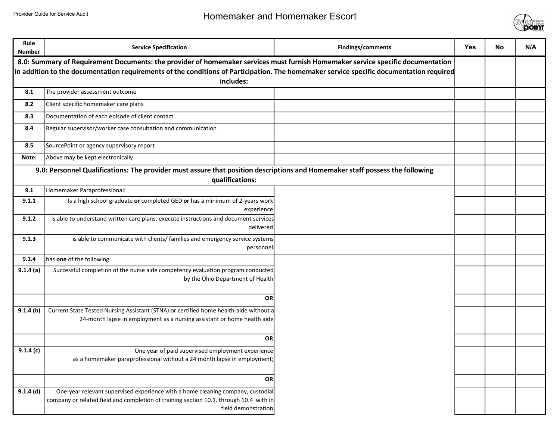

| Rule<br><b>Number</b>                                                                                                                   | <b>Service Specification</b>                                                                                                                                                                     | Findings/comments | <b>Yes</b> | <b>No</b> | N/A |
|-----------------------------------------------------------------------------------------------------------------------------------------|--------------------------------------------------------------------------------------------------------------------------------------------------------------------------------------------------|-------------------|------------|-----------|-----|
| 8.0: Summary of Requirement Documents: the provider of homemaker services must furnish Homemaker service specific documentation         |                                                                                                                                                                                                  |                   |            |           |     |
| in addition to the documentation requirements of the conditions of Participation. The homemaker service specific documentation required |                                                                                                                                                                                                  |                   |            |           |     |
|                                                                                                                                         | includes:                                                                                                                                                                                        |                   |            |           |     |
| 8.1                                                                                                                                     | The provider assessment outcome                                                                                                                                                                  |                   |            |           |     |
| 8.2                                                                                                                                     | Client specific homemaker care plans                                                                                                                                                             |                   |            |           |     |
| 8.3                                                                                                                                     | Documentation of each episode of client contact                                                                                                                                                  |                   |            |           |     |
| 8.4                                                                                                                                     | Regular supervisor/worker case consultation and communication                                                                                                                                    |                   |            |           |     |
| 8.5                                                                                                                                     | SourcePoint or agency supervisory report                                                                                                                                                         |                   |            |           |     |
| Note:                                                                                                                                   | Above may be kept electronically                                                                                                                                                                 |                   |            |           |     |
|                                                                                                                                         | 9.0: Personnel Qualifications: The provider must assure that position descriptions and Homemaker staff possess the following                                                                     |                   |            |           |     |
|                                                                                                                                         | qualifications:                                                                                                                                                                                  |                   |            |           |     |
| 9.1                                                                                                                                     | Homemaker Paraprofessional:                                                                                                                                                                      |                   |            |           |     |
| 9.1.1                                                                                                                                   | Is a high school graduate or completed GED or has a minimum of 2-years work<br>experience                                                                                                        |                   |            |           |     |
| 9.1.2                                                                                                                                   | is able to understand written care plans, execute instructions and document services<br>delivered                                                                                                |                   |            |           |     |
| 9.1.3                                                                                                                                   | is able to communicate with clients/ families and emergency service systems<br>personnel                                                                                                         |                   |            |           |     |
| 9.1.4                                                                                                                                   | has one of the following:                                                                                                                                                                        |                   |            |           |     |
| 9.1.4(a)                                                                                                                                | Successful completion of the nurse aide competency evaluation program conducted<br>by the Ohio Department of Health                                                                              |                   |            |           |     |
|                                                                                                                                         | OR                                                                                                                                                                                               |                   |            |           |     |
| 9.1.4(b)                                                                                                                                | Current State Tested Nursing Assistant (STNA) or certified home health-aide without a<br>24-month lapse in employment as a nursing assistant or home health aide                                 |                   |            |           |     |
|                                                                                                                                         | OR                                                                                                                                                                                               |                   |            |           |     |
| 9.1.4(c)                                                                                                                                | One year of paid supervised employment experience                                                                                                                                                |                   |            |           |     |
|                                                                                                                                         | as a homemaker paraprofessional without a 24 month lapse in employment;                                                                                                                          |                   |            |           |     |
|                                                                                                                                         | ORI                                                                                                                                                                                              |                   |            |           |     |
| $9.1.4$ (d)                                                                                                                             | One-year relevant supervised experience with a home cleaning company, custodial<br>company or related field and completion of training section 10.1. through 10.4 with in<br>field demonstration |                   |            |           |     |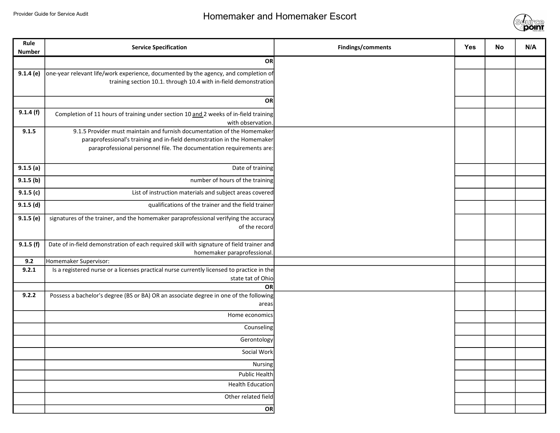

| Rule<br><b>Number</b> | <b>Service Specification</b>                                                                                                                                                                                               | Findings/comments | <b>Yes</b> | <b>No</b> | N/A |
|-----------------------|----------------------------------------------------------------------------------------------------------------------------------------------------------------------------------------------------------------------------|-------------------|------------|-----------|-----|
|                       | OR                                                                                                                                                                                                                         |                   |            |           |     |
| 9.1.4(e)              | one-year relevant life/work experience, documented by the agency, and completion of<br>training section 10.1. through 10.4 with in-field demonstration                                                                     |                   |            |           |     |
|                       | OR                                                                                                                                                                                                                         |                   |            |           |     |
| 9.1.4(f)              | Completion of 11 hours of training under section 10 and 2 weeks of in-field training<br>with observation.                                                                                                                  |                   |            |           |     |
| 9.1.5                 | 9.1.5 Provider must maintain and furnish documentation of the Homemaker<br>paraprofessional's training and in-field demonstration in the Homemaker<br>paraprofessional personnel file. The documentation requirements are: |                   |            |           |     |
| 9.1.5(a)              | Date of training                                                                                                                                                                                                           |                   |            |           |     |
| 9.1.5(b)              | number of hours of the training                                                                                                                                                                                            |                   |            |           |     |
| 9.1.5(c)              | List of instruction materials and subject areas covered                                                                                                                                                                    |                   |            |           |     |
| $9.1.5$ (d)           | qualifications of the trainer and the field trainer                                                                                                                                                                        |                   |            |           |     |
| $9.1.5$ (e)           | signatures of the trainer, and the homemaker paraprofessional verifying the accuracy<br>of the record                                                                                                                      |                   |            |           |     |
| 9.1.5(f)              | Date of in-field demonstration of each required skill with signature of field trainer and                                                                                                                                  |                   |            |           |     |
| 9.2                   | homemaker paraprofessional.<br>Homemaker Supervisor:                                                                                                                                                                       |                   |            |           |     |
| 9.2.1                 | Is a registered nurse or a licenses practical nurse currently licensed to practice in the                                                                                                                                  |                   |            |           |     |
|                       | state tat of Ohio                                                                                                                                                                                                          |                   |            |           |     |
| 9.2.2                 | OR<br>Possess a bachelor's degree (BS or BA) OR an associate degree in one of the following                                                                                                                                |                   |            |           |     |
|                       | areas                                                                                                                                                                                                                      |                   |            |           |     |
|                       | Home economics                                                                                                                                                                                                             |                   |            |           |     |
|                       | Counseling                                                                                                                                                                                                                 |                   |            |           |     |
|                       | Gerontology                                                                                                                                                                                                                |                   |            |           |     |
|                       | Social Work                                                                                                                                                                                                                |                   |            |           |     |
|                       | Nursing                                                                                                                                                                                                                    |                   |            |           |     |
|                       | Public Health                                                                                                                                                                                                              |                   |            |           |     |
|                       | <b>Health Education</b>                                                                                                                                                                                                    |                   |            |           |     |
|                       | Other related field                                                                                                                                                                                                        |                   |            |           |     |
|                       | OR                                                                                                                                                                                                                         |                   |            |           |     |